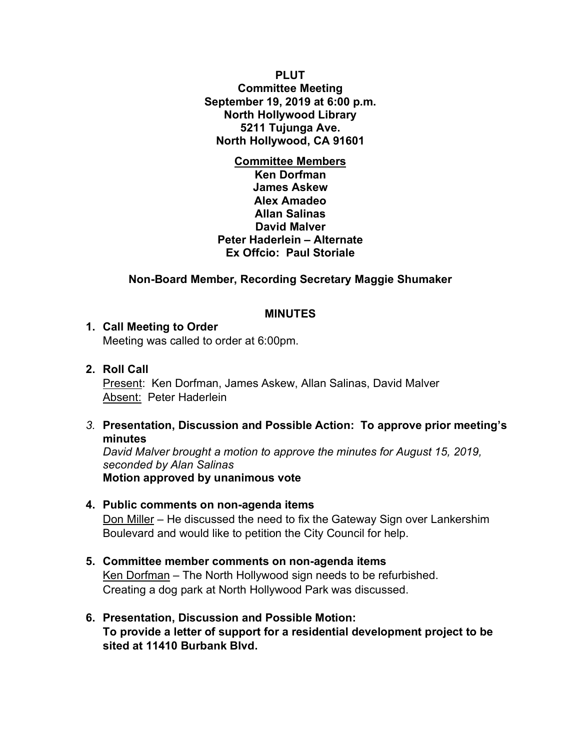**PLUT Committee Meeting September 19, 2019 at 6:00 p.m. North Hollywood Library 5211 Tujunga Ave. North Hollywood, CA 91601**

**Committee Members Ken Dorfman James Askew Alex Amadeo Allan Salinas David Malver Peter Haderlein – Alternate Ex Offcio: Paul Storiale**

## **Non-Board Member, Recording Secretary Maggie Shumaker**

## **MINUTES**

#### **1. Call Meeting to Order**

Meeting was called to order at 6:00pm.

## **2. Roll Call**

Present: Ken Dorfman, James Askew, Allan Salinas, David Malver Absent: Peter Haderlein

#### *3.* **Presentation, Discussion and Possible Action: To approve prior meeting's minutes**

*David Malver brought a motion to approve the minutes for August 15, 2019, seconded by Alan Salinas* **Motion approved by unanimous vote**

## **4. Public comments on non-agenda items** Don Miller – He discussed the need to fix the Gateway Sign over Lankershim Boulevard and would like to petition the City Council for help.

# **5. Committee member comments on non-agenda items** Ken Dorfman – The North Hollywood sign needs to be refurbished. Creating a dog park at North Hollywood Park was discussed.

**6. Presentation, Discussion and Possible Motion: To provide a letter of support for a residential development project to be sited at 11410 Burbank Blvd.**